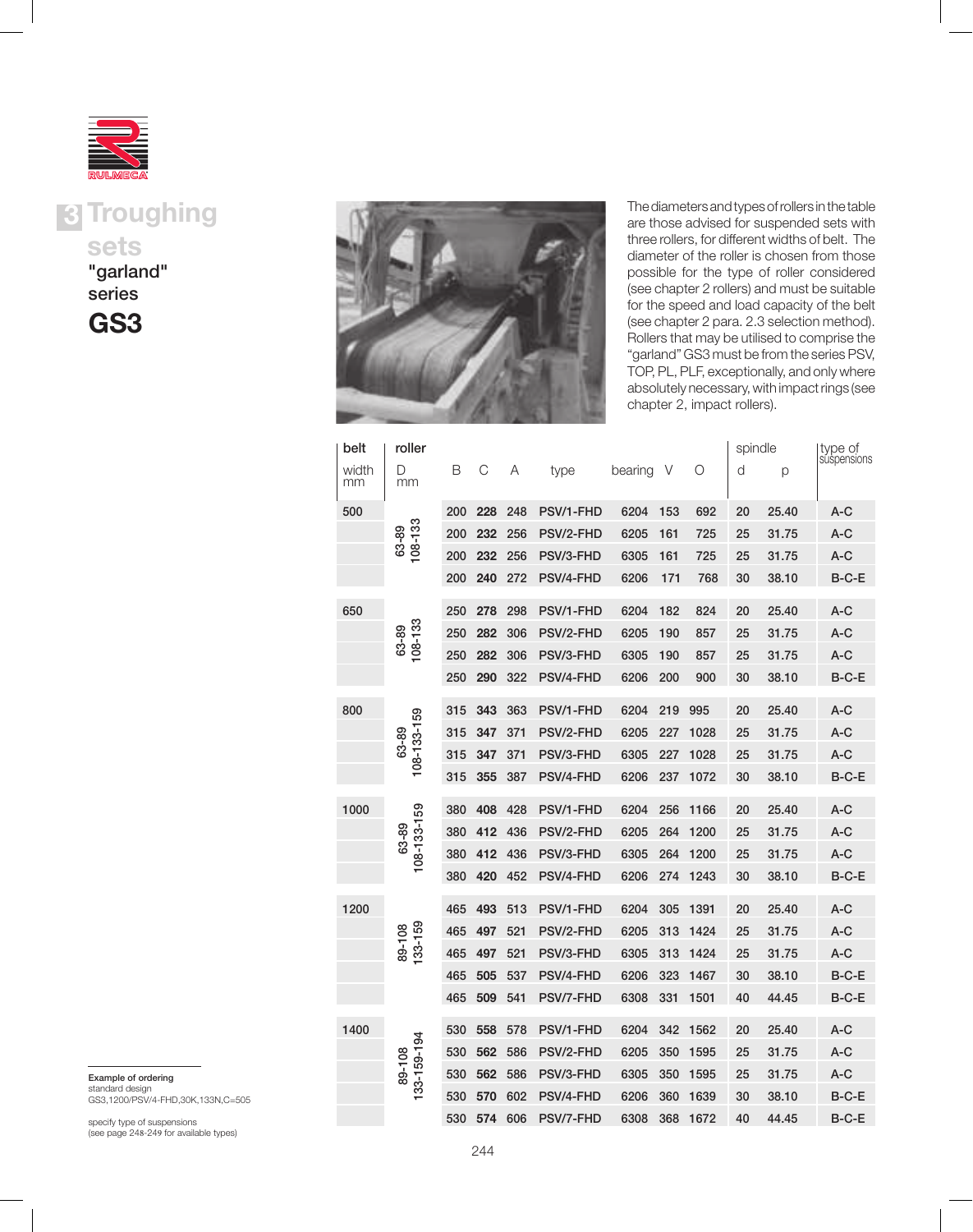

**3 Troughing** sets

"garland" series





The diameters and types of rollers in the table are those advised for suspended sets with three rollers, for different widths of belt. The diameter of the roller is chosen from those possible for the type of roller considered (see chapter 2 rollers) and must be suitable for the speed and load capacity of the belt (see chapter 2 para. 2.3 selection method). Rollers that may be utilised to comprise the "garland" GS3 must be from the series PSV, TOP, PL, PLF, exceptionally, and only where absolutely necessary, with impact rings (see chapter 2, impact rollers).

| belt        | roller               |     |     |     |           |         |     |      | spindle |       | type of     |
|-------------|----------------------|-----|-----|-----|-----------|---------|-----|------|---------|-------|-------------|
| width<br>mm | D<br>mm              | В   | С   | Α   | type      | bearing | V   | Ο    | d       | р     | suspensions |
| 500         |                      | 200 | 228 | 248 | PSV/1-FHD | 6204    | 153 | 692  | 20      | 25.40 | A-C         |
|             | 63-89<br>108-133     | 200 | 232 | 256 | PSV/2-FHD | 6205    | 161 | 725  | 25      | 31.75 | A-C         |
|             |                      | 200 | 232 | 256 | PSV/3-FHD | 6305    | 161 | 725  | 25      | 31.75 | A-C         |
|             |                      | 200 | 240 | 272 | PSV/4-FHD | 6206    | 171 | 768  | 30      | 38.10 | $B-C-E$     |
| 650         |                      | 250 | 278 | 298 | PSV/1-FHD | 6204    | 182 | 824  | 20      | 25.40 | $A-C$       |
|             | 108-133<br>63-89     | 250 | 282 | 306 | PSV/2-FHD | 6205    | 190 | 857  | 25      | 31.75 | $A-C$       |
|             |                      | 250 | 282 | 306 | PSV/3-FHD | 6305    | 190 | 857  | 25      | 31.75 | $A-C$       |
|             |                      | 250 | 290 | 322 | PSV/4-FHD | 6206    | 200 | 900  | 30      | 38.10 | $B-C-E$     |
| 800         |                      | 315 | 343 | 363 | PSV/1-FHD | 6204    | 219 | 995  | 20      | 25.40 | A-C         |
|             | 108-133-159          | 315 | 347 | 371 | PSV/2-FHD | 6205    | 227 | 1028 | 25      | 31.75 | A-C         |
|             | 63-89                | 315 | 347 | 371 | PSV/3-FHD | 6305    | 227 | 1028 | 25      | 31.75 | A-C         |
|             |                      | 315 | 355 | 387 | PSV/4-FHD | 6206    | 237 | 1072 | 30      | 38.10 | $B-C-E$     |
| 1000        |                      | 380 | 408 | 428 | PSV/1-FHD | 6204    | 256 | 1166 | 20      | 25.40 | A-C         |
|             | 108-133-159<br>63-89 | 380 | 412 | 436 | PSV/2-FHD | 6205    | 264 | 1200 | 25      | 31.75 | $A-C$       |
|             |                      | 380 | 412 | 436 | PSV/3-FHD | 6305    | 264 | 1200 | 25      | 31.75 | $A-C$       |
|             |                      | 380 | 420 | 452 | PSV/4-FHD | 6206    | 274 | 1243 | 30      | 38.10 | B-C-E       |
| 1200        |                      | 465 | 493 | 513 | PSV/1-FHD | 6204    | 305 | 1391 | 20      | 25.40 | A-C         |
|             | 133-159              | 465 | 497 | 521 | PSV/2-FHD | 6205    | 313 | 1424 | 25      | 31.75 | A-C         |
|             | 89-108               | 465 | 497 | 521 | PSV/3-FHD | 6305    | 313 | 1424 | 25      | 31.75 | $A-C$       |
|             |                      | 465 | 505 | 537 | PSV/4-FHD | 6206    | 323 | 1467 | 30      | 38.10 | B-C-E       |
|             |                      | 465 | 509 | 541 | PSV/7-FHD | 6308    | 331 | 1501 | 40      | 44.45 | B-C-E       |
| 1400        |                      | 530 | 558 | 578 | PSV/1-FHD | 6204    | 342 | 1562 | 20      | 25.40 | A-C         |
|             |                      | 530 | 562 | 586 | PSV/2-FHD | 6205    | 350 | 1595 | 25      | 31.75 | $A-C$       |
|             | 33-159-194<br>89-108 | 530 | 562 | 586 | PSV/3-FHD | 6305    | 350 | 1595 | 25      | 31.75 | $A-C$       |
|             |                      | 530 | 570 | 602 | PSV/4-FHD | 6206    | 360 | 1639 | 30      | 38.10 | B-C-E       |
|             |                      | 530 | 574 | 606 | PSV/7-FHD | 6308    | 368 | 1672 | 40      | 44.45 | $B-C-E$     |

Example of ordering

standard design GS3,1200/PSV/4-FHD,30K,133N,C=505

specify type of suspensions (see page 248-249 for available types)